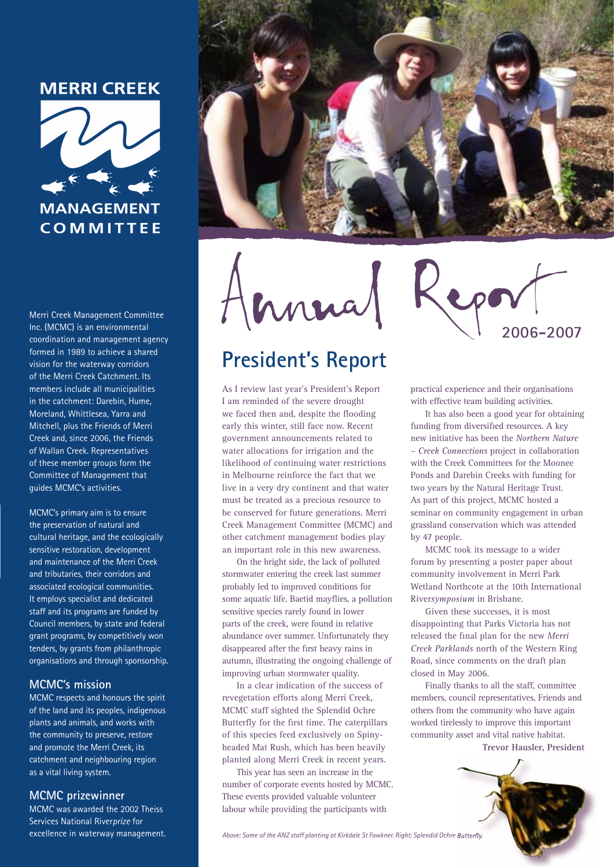# **MERRI CREEK**



Merri Creek Management Committee Inc. (MCMC) is an environmental coordination and management agency formed in 1989 to achieve a shared vision for the waterway corridors of the Merri Creek Catchment, Its members include all municipalities in the catchment: Darebin, Hume, Moreland, Whittlesea, Yarra and Mitchell, plus the Friends of Merri Creek and, since 2006, the Friends of Wallan Creek. Representatives of these member groups form the Committee of Management that quides MCMC's activities.

MCMC's primary aim is to ensure the preservation of natural and cultural heritage, and the ecologically sensitive restoration, development and maintenance of the Merri Creek and tributaries, their corridors and associated ecological communities. It employs specialist and dedicated staff and its programs are funded by Council members, by state and federal grant programs, by competitively won tenders, by grants from philanthropic organisations and through sponsorship.

### **MCMC's mission**

MCMC respects and honours the spirit of the land and its peoples, indigenous plants and animals, and works with the community to preserve, restore and promote the Merri Creek, its catchment and neighbouring region as a vital living system.

### **MCMC** prizewinner

MCMC was awarded the 2002 Theiss Services National Riverprize for excellence in waterway management.



Innua

# **President's Report**

As I review last year's President's Report I am reminded of the severe drought we faced then and, despite the flooding early this winter, still face now. Recent government announcements related to water allocations for irrigation and the likelihood of continuing water restrictions in Melbourne reinforce the fact that we live in a very dry continent and that water must be treated as a precious resource to be conserved for future generations. Merri Creek Management Committee (MCMC) and other catchment management bodies play an important role in this new awareness.

On the bright side, the lack of polluted stormwater entering the creek last summer probably led to improved conditions for some aquatic life. Baetid mayflies, a pollution sensitive species rarely found in lower parts of the creek, were found in relative abundance over summer. Unfortunately they disappeared after the first heavy rains in autumn, illustrating the ongoing challenge of improving urban stormwater quality.

In a clear indication of the success of revegetation efforts along Merri Creek, MCMC staff sighted the Splendid Ochre Butterfly for the first time. The caterpillars of this species feed exclusively on Spinyheaded Mat Rush, which has been heavily planted along Merri Creek in recent years.

This year has seen an increase in the number of corporate events hosted by MCMC. These events provided valuable volunteer labour while providing the participants with

2006-2007

practical experience and their organisations with effective team building activities.

It has also been a good year for obtaining funding from diversified resources. A key new initiative has been the Northern Nature - Creek Connections project in collaboration with the Creek Committees for the Moonee Ponds and Darebin Creeks with funding for two years by the Natural Heritage Trust. As part of this project, MCMC hosted a seminar on community engagement in urban grassland conservation which was attended by 47 people.

MCMC took its message to a wider forum by presenting a poster paper about community involvement in Merri Park Wetland Northcote at the 10th International Riversymposium in Brisbane.

Given these successes, it is most disappointing that Parks Victoria has not released the final plan for the new Merri Creek Parklands north of the Western Ring Road, since comments on the draft plan closed in May 2006.

Finally thanks to all the staff, committee members, council representatives, Friends and others from the community who have again worked tirelessly to improve this important community asset and vital native habitat. Trevor Hausler, President



Above: Some of the ANZ staff planting at Kirkdale St Fawkner. Right: Splendid Ochre Butterfly.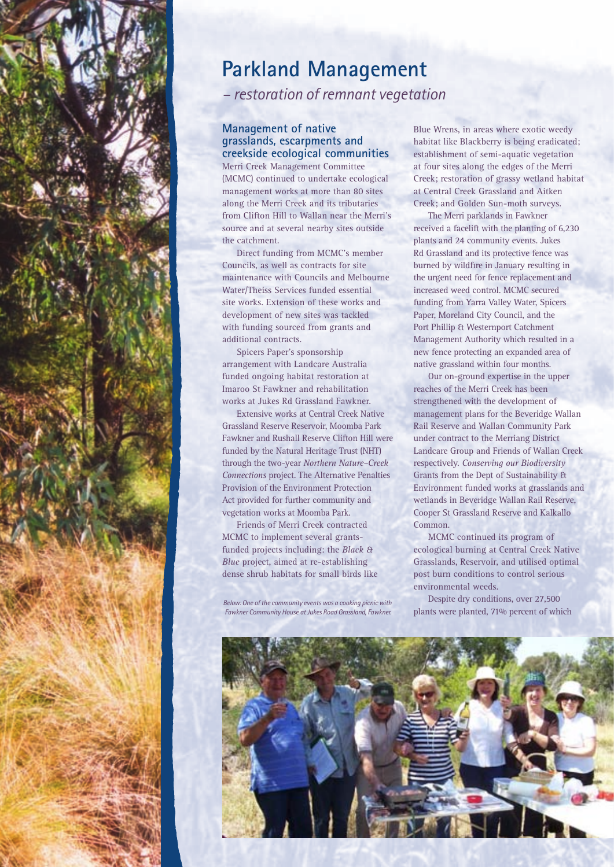

# **Parkland Management**

*– restoration of remnant vegetation*

#### **Management of native grasslands, escarpments and creekside ecological communities**

Merri Creek Management Committee (MCMC) continued to undertake ecological management works at more than 80 sites along the Merri Creek and its tributaries from Clifton Hill to Wallan near the Merri's source and at several nearby sites outside the catchment.

Direct funding from MCMC's member Councils, as well as contracts for site maintenance with Councils and Melbourne Water/Theiss Services funded essential site works. Extension of these works and development of new sites was tackled with funding sourced from grants and additional contracts.

Spicers Paper's sponsorship arrangement with Landcare Australia funded ongoing habitat restoration at Imaroo St Fawkner and rehabilitation works at Jukes Rd Grassland Fawkner.

Extensive works at Central Creek Native Grassland Reserve Reservoir, Moomba Park Fawkner and Rushall Reserve Clifton Hill were funded by the Natural Heritage Trust (NHT) through the two-year *Northern Nature–Creek Connections* project. The Alternative Penalties Provision of the Environment Protection Act provided for further community and vegetation works at Moomba Park.

Friends of Merri Creek contracted MCMC to implement several grantsfunded projects including: the *Black & Blue* project, aimed at re-establishing dense shrub habitats for small birds like

*Below: One of the community events was a cooking picnic with Fawkner Community House at Jukes Road Grassland, Fawkner.*

Blue Wrens, in areas where exotic weedy habitat like Blackberry is being eradicated; establishment of semi-aquatic vegetation at four sites along the edges of the Merri Creek; restoration of grassy wetland habitat at Central Creek Grassland and Aitken Creek; and Golden Sun-moth surveys.

The Merri parklands in Fawkner received a facelift with the planting of 6,230 plants and 24 community events. Jukes Rd Grassland and its protective fence was burned by wildfire in January resulting in the urgent need for fence replacement and increased weed control. MCMC secured funding from Yarra Valley Water, Spicers Paper, Moreland City Council, and the Port Phillip & Westernport Catchment Management Authority which resulted in a new fence protecting an expanded area of native grassland within four months.

Our on-ground expertise in the upper reaches of the Merri Creek has been strengthened with the development of management plans for the Beveridge Wallan Rail Reserve and Wallan Community Park under contract to the Merriang District Landcare Group and Friends of Wallan Creek respectively. *Conserving our Biodiversity* Grants from the Dept of Sustainability & Environment funded works at grasslands and wetlands in Beveridge Wallan Rail Reserve, Cooper St Grassland Reserve and Kalkallo Common.

MCMC continued its program of ecological burning at Central Creek Native Grasslands, Reservoir, and utilised optimal post burn conditions to control serious environmental weeds.

Despite dry conditions, over 27,500 plants were planted, 71% percent of which

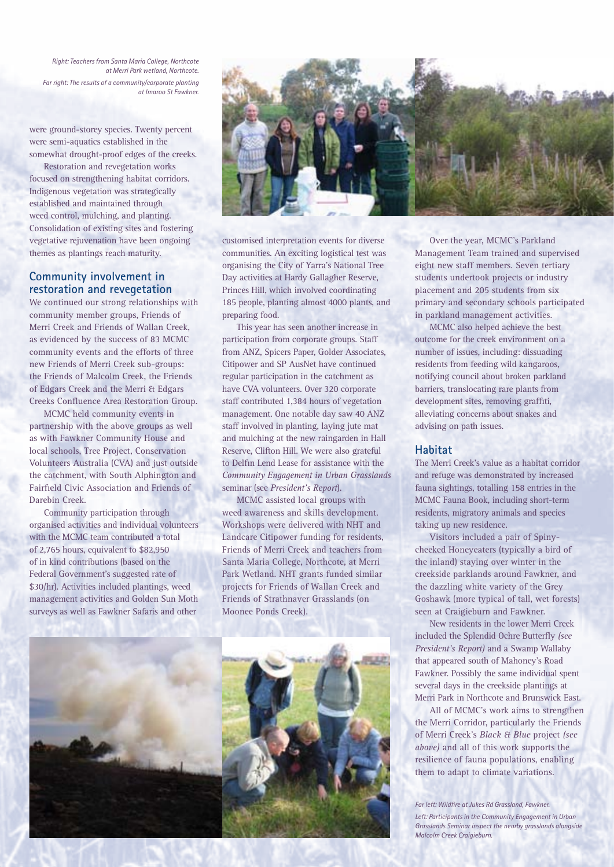*Right: Teachers from Santa Maria College, Northcote at Merri Park wetland, Northcote. Far right: The results of a community/corporate planting at Imaroo St Fawkner.*

were ground-storey species. Twenty percent were semi-aquatics established in the somewhat drought-proof edges of the creeks.

Restoration and revegetation works focused on strengthening habitat corridors. Indigenous vegetation was strategically established and maintained through weed control, mulching, and planting. Consolidation of existing sites and fostering vegetative rejuvenation have been ongoing themes as plantings reach maturity.

#### **Community involvement in restoration and revegetation**

We continued our strong relationships with community member groups, Friends of Merri Creek and Friends of Wallan Creek, as evidenced by the success of 83 MCMC community events and the efforts of three new Friends of Merri Creek sub-groups: the Friends of Malcolm Creek, the Friends of Edgars Creek and the Merri & Edgars Creeks Confluence Area Restoration Group.

MCMC held community events in partnership with the above groups as well as with Fawkner Community House and local schools, Tree Project, Conservation Volunteers Australia (CVA) and just outside the catchment, with South Alphington and Fairfield Civic Association and Friends of Darebin Creek.

Community participation through organised activities and individual volunteers with the MCMC team contributed a total of 2,765 hours, equivalent to \$82,950 of in kind contributions (based on the Federal Government's suggested rate of \$30/hr). Activities included plantings, weed management activities and Golden Sun Moth surveys as well as Fawkner Safaris and other





customised interpretation events for diverse communities. An exciting logistical test was organising the City of Yarra's National Tree Day activities at Hardy Gallagher Reserve, Princes Hill, which involved coordinating 185 people, planting almost 4000 plants, and preparing food.

This year has seen another increase in participation from corporate groups. Staff from ANZ, Spicers Paper, Golder Associates, Citipower and SP AusNet have continued regular participation in the catchment as have CVA volunteers. Over 320 corporate staff contributed 1,384 hours of vegetation management. One notable day saw 40 ANZ staff involved in planting, laying jute mat and mulching at the new raingarden in Hall Reserve, Clifton Hill. We were also grateful to Delfin Lend Lease for assistance with the *Community Engagement in Urban Grasslands* seminar (see *President's Report*).

MCMC assisted local groups with weed awareness and skills development. Workshops were delivered with NHT and Landcare Citipower funding for residents, Friends of Merri Creek and teachers from Santa Maria College, Northcote, at Merri Park Wetland. NHT grants funded similar projects for Friends of Wallan Creek and Friends of Strathnaver Grasslands (on Moonee Ponds Creek).



Over the year, MCMC's Parkland Management Team trained and supervised eight new staff members. Seven tertiary students undertook projects or industry placement and 205 students from six primary and secondary schools participated in parkland management activities.

MCMC also helped achieve the best outcome for the creek environment on a number of issues, including: dissuading residents from feeding wild kangaroos, notifying council about broken parkland barriers, translocating rare plants from development sites, removing graffiti, alleviating concerns about snakes and advising on path issues.

#### **Habitat**

The Merri Creek's value as a habitat corridor and refuge was demonstrated by increased fauna sightings, totalling 158 entries in the MCMC Fauna Book, including short-term residents, migratory animals and species taking up new residence.

Visitors included a pair of Spinycheeked Honeyeaters (typically a bird of the inland) staying over winter in the creekside parklands around Fawkner, and the dazzling white variety of the Grey Goshawk (more typical of tall, wet forests) seen at Craigieburn and Fawkner.

New residents in the lower Merri Creek included the Splendid Ochre Butterfly *(see President's Report)* and a Swamp Wallaby that appeared south of Mahoney's Road Fawkner. Possibly the same individual spent several days in the creekside plantings at Merri Park in Northcote and Brunswick East.

All of MCMC's work aims to strengthen the Merri Corridor, particularly the Friends of Merri Creek's *Black & Blue* project *(see above)* and all of this work supports the resilience of fauna populations, enabling them to adapt to climate variations.

*Far left: Wildfire at Jukes Rd Grassland, Fawkner. Left: Participants in the Community Engagement in Urban Grasslands Seminar inspect the nearby grasslands alongside Malcolm Creek Craigieburn.*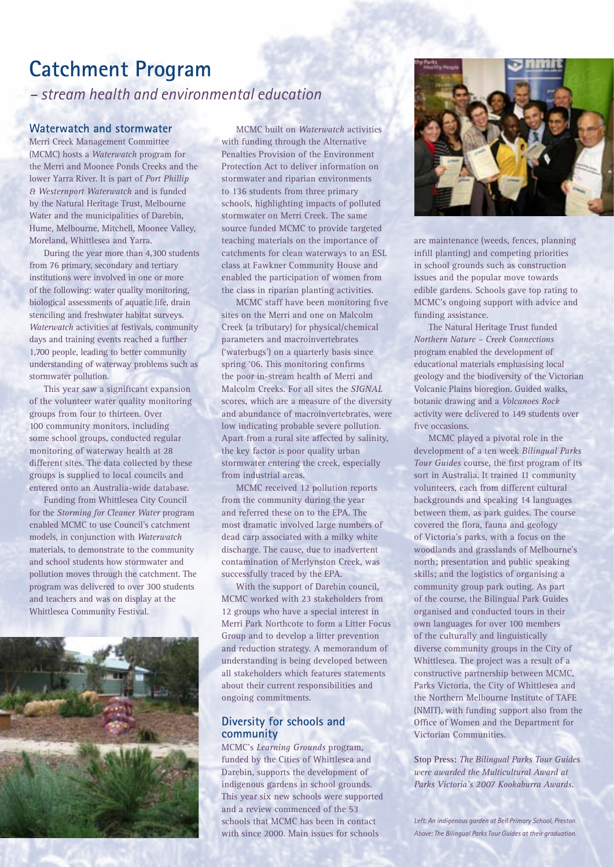# **Catchment Program**

*– stream health and environmental education*

#### **Waterwatch and stormwater**

Merri Creek Management Committee (MCMC) hosts a *Waterwatch* program for the Merri and Moonee Ponds Creeks and the lower Yarra River. It is part of *Port Phillip & Westernport Waterwatch* and is funded by the Natural Heritage Trust, Melbourne Water and the municipalities of Darebin, Hume, Melbourne, Mitchell, Moonee Valley, Moreland, Whittlesea and Yarra.

During the year more than 4,300 students from 76 primary, secondary and tertiary institutions were involved in one or more of the following: water quality monitoring, biological assessments of aquatic life, drain stenciling and freshwater habitat surveys. *Waterwatch* activities at festivals, community days and training events reached a further 1,700 people, leading to better community understanding of waterway problems such as stormwater pollution.

This year saw a significant expansion of the volunteer water quality monitoring groups from four to thirteen. Over 100 community monitors, including some school groups, conducted regular monitoring of waterway health at 28 different sites. The data collected by these groups is supplied to local councils and entered onto an Australia-wide database.

Funding from Whittlesea City Council for the *Storming for Cleaner Water* program enabled MCMC to use Council's catchment models, in conjunction with *Waterwatch* materials, to demonstrate to the community and school students how stormwater and pollution moves through the catchment. The program was delivered to over 300 students and teachers and was on display at the Whittlesea Community Festival.



MCMC built on *Waterwatch* activities with funding through the Alternative Penalties Provision of the Environment Protection Act to deliver information on stormwater and riparian environments to 136 students from three primary schools, highlighting impacts of polluted stormwater on Merri Creek. The same source funded MCMC to provide targeted teaching materials on the importance of catchments for clean waterways to an ESL class at Fawkner Community House and enabled the participation of women from the class in riparian planting activities.

MCMC staff have been monitoring five sites on the Merri and one on Malcolm Creek (a tributary) for physical/chemical parameters and macroinvertebrates ('waterbugs') on a quarterly basis since spring '06. This monitoring confirms the poor in-stream health of Merri and Malcolm Creeks. For all sites the *SIGNAL* scores, which are a measure of the diversity and abundance of macroinvertebrates, were low indicating probable severe pollution. Apart from a rural site affected by salinity, the key factor is poor quality urban stormwater entering the creek, especially from industrial areas.

MCMC received 12 pollution reports from the community during the year and referred these on to the EPA. The most dramatic involved large numbers of dead carp associated with a milky white discharge. The cause, due to inadvertent contamination of Merlynston Creek, was successfully traced by the EPA.

With the support of Darebin council, MCMC worked with 23 stakeholders from 12 groups who have a special interest in Merri Park Northcote to form a Litter Focus Group and to develop a litter prevention and reduction strategy. A memorandum of understanding is being developed between all stakeholders which features statements about their current responsibilities and ongoing commitments.

#### **Diversity for schools and community**

MCMC's *Learning Grounds* program, funded by the Cities of Whittlesea and Darebin, supports the development of indigenous gardens in school grounds. This year six new schools were supported and a review commenced of the 53 schools that MCMC has been in contact with since 2000. Main issues for schools



are maintenance (weeds, fences, planning infill planting) and competing priorities in school grounds such as construction issues and the popular move towards edible gardens. Schools gave top rating to MCMC's ongoing support with advice and funding assistance.

The Natural Heritage Trust funded *Northern Nature – Creek Connections*  program enabled the development of educational materials emphasising local geology and the biodiversity of the Victorian Volcanic Plains bioregion. Guided walks, botanic drawing and a *Volcanoes Rock*  activity were delivered to 149 students over five occasions.

MCMC played a pivotal role in the development of a ten week *Bilingual Parks Tour Guides* course, the first program of its sort in Australia. It trained 11 community volunteers, each from different cultural backgrounds and speaking 14 languages between them, as park guides. The course covered the flora, fauna and geology of Victoria's parks, with a focus on the woodlands and grasslands of Melbourne's north; presentation and public speaking skills; and the logistics of organising a community group park outing. As part of the course, the Bilingual Park Guides organised and conducted tours in their own languages for over 100 members of the culturally and linguistically diverse community groups in the City of Whittlesea. The project was a result of a constructive partnership between MCMC, Parks Victoria, the City of Whittlesea and the Northern Melbourne Institute of TAFE (NMIT), with funding support also from the Office of Women and the Department for Victorian Communities.

**Stop Press:** *The Bilingual Parks Tour Guides were awarded the Multicultural Award at Parks Victoria's 2007 Kookaburra Awards.*

*Left: An indigenous garden at Bell Primary School, Preston. Above: The Bilingual Parks Tour Guides at their graduation.*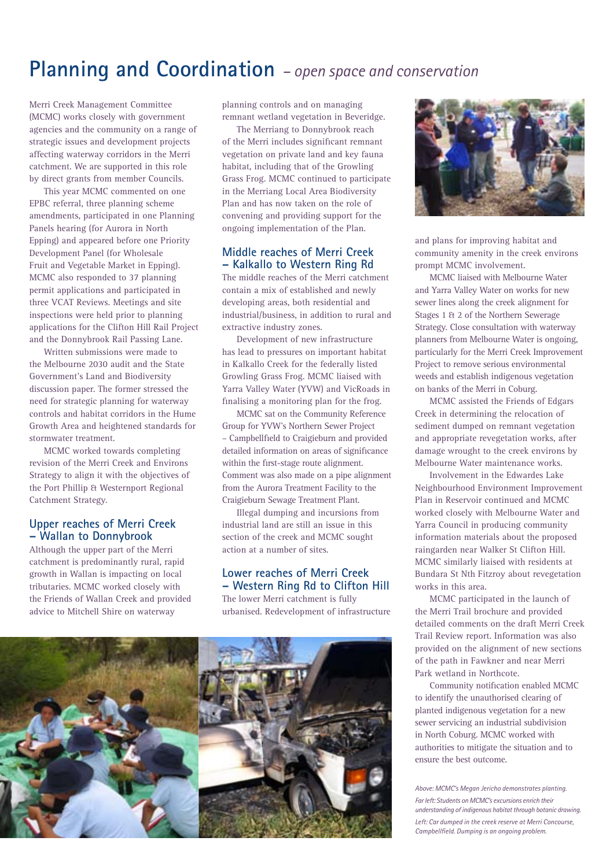# **Planning and Coordination** *– open space and conservation*

Merri Creek Management Committee (MCMC) works closely with government agencies and the community on a range of strategic issues and development projects affecting waterway corridors in the Merri catchment. We are supported in this role by direct grants from member Councils.

This year MCMC commented on one EPBC referral, three planning scheme amendments, participated in one Planning Panels hearing (for Aurora in North Epping) and appeared before one Priority Development Panel (for Wholesale Fruit and Vegetable Market in Epping). MCMC also responded to 37 planning permit applications and participated in three VCAT Reviews. Meetings and site inspections were held prior to planning applications for the Clifton Hill Rail Project and the Donnybrook Rail Passing Lane.

Written submissions were made to the Melbourne 2030 audit and the State Government's Land and Biodiversity discussion paper. The former stressed the need for strategic planning for waterway controls and habitat corridors in the Hume Growth Area and heightened standards for stormwater treatment.

MCMC worked towards completing revision of the Merri Creek and Environs Strategy to align it with the objectives of the Port Phillip & Westernport Regional Catchment Strategy.

#### **Upper reaches of Merri Creek – Wallan to Donnybrook**

Although the upper part of the Merri catchment is predominantly rural, rapid growth in Wallan is impacting on local tributaries. MCMC worked closely with the Friends of Wallan Creek and provided advice to Mitchell Shire on waterway

planning controls and on managing remnant wetland vegetation in Beveridge.

The Merriang to Donnybrook reach of the Merri includes significant remnant vegetation on private land and key fauna habitat, including that of the Growling Grass Frog. MCMC continued to participate in the Merriang Local Area Biodiversity Plan and has now taken on the role of convening and providing support for the ongoing implementation of the Plan.

#### **Middle reaches of Merri Creek – Kalkallo to Western Ring Rd**

The middle reaches of the Merri catchment contain a mix of established and newly developing areas, both residential and industrial/business, in addition to rural and extractive industry zones.

Development of new infrastructure has lead to pressures on important habitat in Kalkallo Creek for the federally listed Growling Grass Frog. MCMC liaised with Yarra Valley Water (YVW) and VicRoads in finalising a monitoring plan for the frog.

MCMC sat on the Community Reference Group for YVW's Northern Sewer Project – Campbellfield to Craigieburn and provided detailed information on areas of significance within the first-stage route alignment. Comment was also made on a pipe alignment from the Aurora Treatment Facility to the Craigieburn Sewage Treatment Plant.

Illegal dumping and incursions from industrial land are still an issue in this section of the creek and MCMC sought action at a number of sites.

#### **Lower reaches of Merri Creek – Western Ring Rd to Clifton Hill**

The lower Merri catchment is fully urbanised. Redevelopment of infrastructure





and plans for improving habitat and community amenity in the creek environs prompt MCMC involvement.

MCMC liaised with Melbourne Water and Yarra Valley Water on works for new sewer lines along the creek alignment for Stages 1 & 2 of the Northern Sewerage Strategy. Close consultation with waterway planners from Melbourne Water is ongoing, particularly for the Merri Creek Improvement Project to remove serious environmental weeds and establish indigenous vegetation on banks of the Merri in Coburg.

MCMC assisted the Friends of Edgars Creek in determining the relocation of sediment dumped on remnant vegetation and appropriate revegetation works, after damage wrought to the creek environs by Melbourne Water maintenance works.

Involvement in the Edwardes Lake Neighbourhood Environment Improvement Plan in Reservoir continued and MCMC worked closely with Melbourne Water and Yarra Council in producing community information materials about the proposed raingarden near Walker St Clifton Hill. MCMC similarly liaised with residents at Bundara St Nth Fitzroy about revegetation works in this area.

MCMC participated in the launch of the Merri Trail brochure and provided detailed comments on the draft Merri Creek Trail Review report. Information was also provided on the alignment of new sections of the path in Fawkner and near Merri Park wetland in Northcote.

Community notification enabled MCMC to identify the unauthorised clearing of planted indigenous vegetation for a new sewer servicing an industrial subdivision in North Coburg. MCMC worked with authorities to mitigate the situation and to ensure the best outcome.

*Above: MCMC's Megan Jericho demonstrates planting. Far left: Students on MCMC's excursions enrich their understanding of indigenous habitat through botanic drawing. Left: Car dumped in the creek reserve at Merri Concourse, Campbellfield. Dumping is an ongoing problem.*